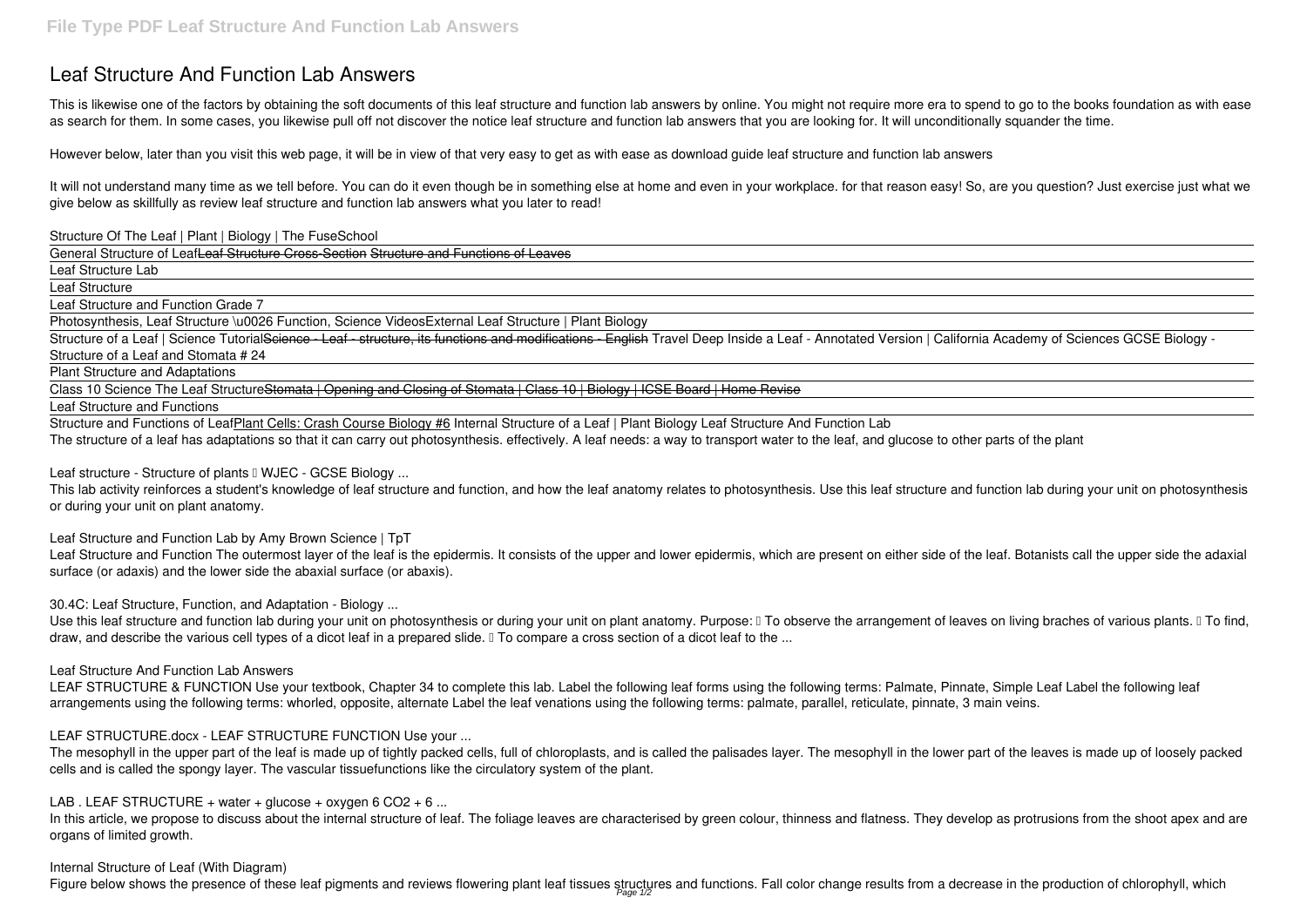This is likewise one of the factors by obtaining the soft documents of this **leaf structure and function lab answers** by online. You might not require more era to spend to go to the books foundation as with ease as search for them. In some cases, you likewise pull off not discover the notice leaf structure and function lab answers that you are looking for. It will unconditionally squander the time.

# **Leaf Structure And Function Lab Answers**

However below, later than you visit this web page, it will be in view of that very easy to get as with ease as download guide leaf structure and function lab answers

It will not understand many time as we tell before. You can do it even though be in something else at home and even in your workplace. for that reason easy! So, are you question? Just exercise just what we give below as skillfully as review **leaf structure and function lab answers** what you later to read!

Structure and Functions of LeafPlant Cells: Crash Course Biology #6 Internal Structure of a Leaf | Plant Biology **Leaf Structure And Function Lab** The structure of a leaf has adaptations so that it can carry out photosynthesis. effectively. A leaf needs: a way to transport water to the leaf, and glucose to other parts of the plant

Leaf structure - Structure of plants II WJEC - GCSE Biology ...

Structure Of The Leaf | Plant | Biology | The FuseSchool

General Structure of LeafLeaf Structure Cross-Section Structure and Functions of Leaves

Leaf Structure Lab

Leaf Structure

Leaf Structure and Function Grade 7

This lab activity reinforces a student's knowledge of leaf structure and function, and how the leaf anatomy relates to photosynthesis. Use this leaf structure and function lab during your unit on photosynthesis or during your unit on plant anatomy.

Photosynthesis, Leaf Structure \u0026 Function, Science Videos*External Leaf Structure | Plant Biology*

Leaf Structure and Function The outermost layer of the leaf is the epidermis. It consists of the upper and lower epidermis, which are present on either side of the leaf. Botanists call the upper side the adaxial surface (or adaxis) and the lower side the abaxial surface (or abaxis).

Structure of a Leaf | Science TutorialScience - Leaf - structure, its functions and modifications - English Travel Deep Inside a Leaf - Annotated Version | California Academy of Sciences **GCSE Biology - Structure of a Leaf and Stomata # 24**

Plant Structure and Adaptations

Class 10 Science The Leaf Structure<del>Stomata | Opening and Closing of Stomata | Class 10 | Biology | ICSE Board | Home Revise</del>

Leaf Structure and Functions

LEAF STRUCTURE & FUNCTION Use your textbook, Chapter 34 to complete this lab. Label the following leaf forms using the following terms: Palmate, Pinnate, Simple Leaf Label the following leaf arrangements using the following terms: whorled, opposite, alternate Label the leaf venations using the following terms: palmate, parallel, reticulate, pinnate, 3 main veins.

The mesophyll in the upper part of the leaf is made up of tightly packed cells, full of chloroplasts, and is called the palisades layer. The mesophyll in the lower part of the leaves is made up of loosely packed cells and is called the spongy layer. The vascular tissuefunctions like the circulatory system of the plant.

In this article, we propose to discuss about the internal structure of leaf. The foliage leaves are characterised by green colour, thinness and flatness. They develop as protrusions from the shoot apex and are organs of limited growth.

**Leaf Structure and Function Lab by Amy Brown Science | TpT**

**30.4C: Leaf Structure, Function, and Adaptation - Biology ...**

Use this leaf structure and function lab during your unit on photosynthesis or during your unit on plant anatomy. Purpose: I To observe the arrangement of leaves on living braches of various plants. I To find, draw, and describe the various cell types of a dicot leaf in a prepared slide. If to compare a cross section of a dicot leaf to the ...

# **Leaf Structure And Function Lab Answers**

# **LEAF STRUCTURE.docx - LEAF STRUCTURE FUNCTION Use your ...**

**LAB . LEAF STRUCTURE + water + glucose + oxygen 6 CO2 + 6 ...**

# **Internal Structure of Leaf (With Diagram)**

Figure below shows the presence of these leaf pigments and reviews flowering plant leaf tissues structures and functions. Fall color change results from a decrease in the production of chlorophyll, which